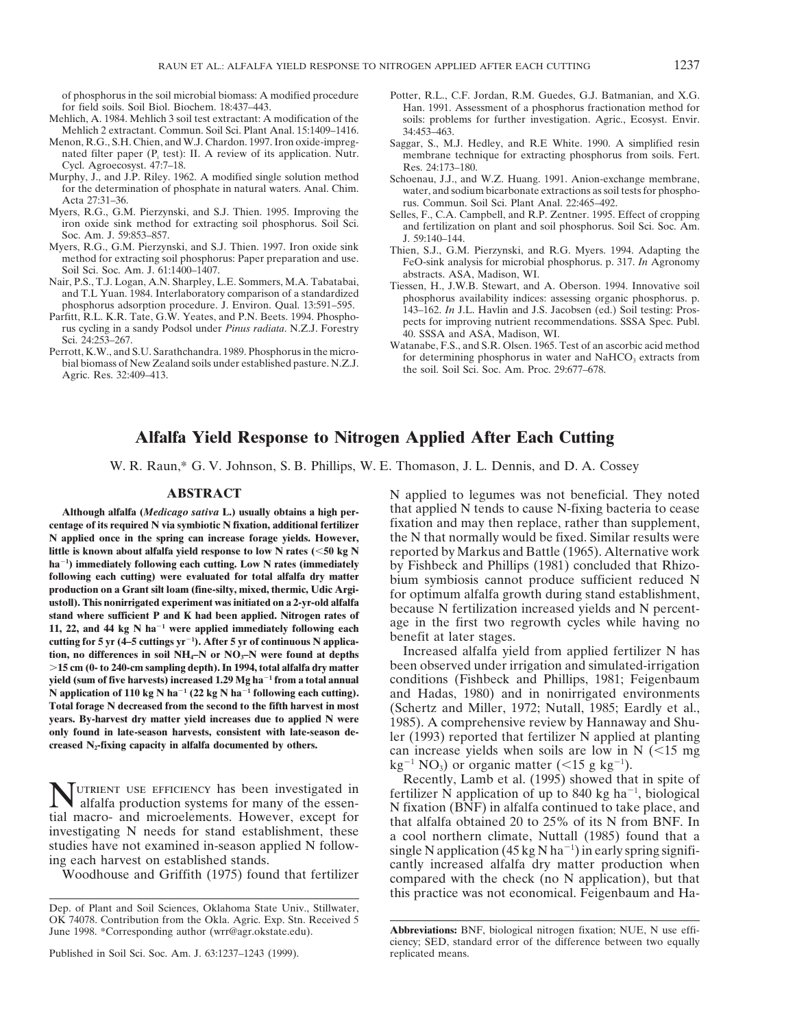- Mehlich 2 extractant. Commun. Soil Sci. Plant Anal. 15:1409–1416. 34:453–463.<br>Menon, R.G., S.H. Chien, and W.J. Chardon. 1997. Iron oxide-impreg-Saggar, S., M.
- Cycl. Agroecosyst. 47:7–18. Res. 24:173–180.<br>Murphy, J., and J.P. Riley. 1962. A modified single solution method Schoenau, J.J., and
- urphy, J., and J.P. Riley. 1962. A modified single solution method Schoenau, J.J., and W.Z. Huang. 1991. Anion-exchange membrane, for the determination of phosphate in natural waters. Anal. Chim. water, and sodium bicarbon
- 
- 
- 
- 
- 
- of phosphorus in the soil microbial biomass: A modified procedure Potter, R.L., C.F. Jordan, R.M. Guedes, G.J. Batmanian, and X.G.<br>
Fan. 1991. Assessment of a phosphorus fractionation method for<br>
Han. 1991. Assessment of a for field soils. Soil Biol. Biochem. 18:437–443. Han. 1991. Assessment of a phosphorus fractionation method for soils: problems for further investigation. Agric., Ecosyst. Envir.
	- enon, R.G., S.H. Chien, and W.J. Chardon. 1997. Iron oxide-impreg-<br>nated filter paper ( $P_i$  test): II. A review of its application. Nutr.<br>membrane technique for extracting phosphorus from soils. Fert. membrane technique for extracting phosphorus from soils. Fert.
- for the determination of phosphate in natural waters. Anal. Chim.<br>Acta 27:31–36. rus. Commun. Soil Sci. Plant Anal. 22:465–492.<br>Myers, R.G., G.M. Pierzynski, and S.J. Thien. 1995. Improving the<br>Selles F. C.A. Campbell and
- Myers, R.G., G.M. Pierzynski, and S.J. Thien. 1995. Improving the felles, F., C.A. Campbell, and R.P. Zentner. 1995. Effect of cropping<br>
iron oxide sink method for extracting soil phosphorus. Soil Sci.<br>
Soc. Am. J. 59:853–
	-
- Myers, R.G., G.M. Pierzynski, and S.J. Thien. 1997. Iron oxide sink<br>method for extracting soil phosphorus. Paper preparation and use.<br>Soil Sci. Soc. Am. J. 61:1400-1407.<br>Nair, P.S., T.J. Logan, A.N. Sharpley, L.E. Sommers,
	-

# **Alfalfa Yield Response to Nitrogen Applied After Each Cutting**

W. R. Raun,\* G. V. Johnson, S. B. Phillips, W. E. Thomason, J. L. Dennis, and D. A. Cossey

**centage of its required N via symbiotic N fixation, additional fertilizer** fixation and may then replace, rather than supplement, **N applied once in the spring can increase forage yields. However,** the N that normally would be fixed. Similar results were **little is known about alfalfa yield response to low N rates (<50 kg N reported by Markus and Battle (1965). Alternative work**  $ha^{-1}$ ) immediately following each cutting. Low N rates (immediately ha<sup>-1</sup>) immediately following each cutting. Low N rates (immediately<br>following each cutting) were evaluated for total alfalfa dry matter<br>production on a Grant silt loam (fine-silty, mixed, thermic, Udic Argi-<br>production o cutting for 5 yr (4–5 cuttings yr<sup>-1</sup>). After 5 yr of continuous N applica-Increased alfalfa yield from applied fertilizer N has **tion, no differences in soil NH<sub>4</sub>–N or NO<sub>3</sub>–N were found at depths** Increased alfalfa yield from applied fertilizer N has

MUTRIENT USE EFFICIENCY has been investigated in fertilizer N application of up to 840 kg ha<sup>-1</sup>, biological alfalfa production systems for many of the essen-<br>tial macro- and microelements. However, except for that alfalfa

Published in Soil Sci. Soc. Am. J. 63:1237-1243 (1999). replicated means.

**ABSTRACT** N applied to legumes was not beneficial. They noted **Although alfalfa (***Medicago sativa* **L.) usually obtains a high per-** that applied N tends to cause N-fixing bacteria to cease

.**15 cm (0- to 240-cm sampling depth). In 1994, total alfalfa dry matter** been observed under irrigation and simulated-irrigation **yield (sum of five harvests) increased 1.29 Mg ha<sup>-1</sup> from a total annual conditions (Fishbeck and Phillips, 1981; Feigenbaum N** application of 110 kg N ha<sup>-1</sup> (22 kg N ha<sup>-1</sup> following each cutting). and Hadas, 1980) and in nonirrigated environments **Total** for the second to the fifth harvest in most (Schertz and Miller 1972: Nutall 1985: Eardl Total forage N decreased from the second to the fifth harvest in most<br>
years. By-harvest dry matter yield increases due to applied N were<br>
only found in late-season harvests, consistent with late-season de-<br>
creased N<sub>2</sub> $kg^{-1}$  NO<sub>3</sub>) or organic matter (<15 g kg<sup>-1</sup>).

Recently, Lamb et al. (1995) showed that in spite of<br>alfalfa production systems for many of the essen-<br>in fixation (BNF) in alfalfa continued to take place, and<br>in many of the essen-<br>in fixation (BNF) in alfalfa continued investigating N needs for stand establishment, these a cool northern climate, Nuttall (1985) found that a studies have not examined in-season applied N follow-<br>single N application (45 kg N ha<sup>-1</sup>) in early spring signifi g each harvest on established stands.<br>Woodhouse and Griffith (1975) found that fertilizer compared with the check (no N application), but that this practice was not economical. Feigenbaum and Ha-

Dep. of Plant and Soil Sciences, Oklahoma State Univ., Stillwater, OK 74078. Contribution from the Okla. Agric. Exp. Stn. Received 5 June 1998. \*Corresponding author (wrr@agr.okstate.edu). **Abbreviations:** BNF, biological nitrogen fixation; NUE, N use effi-

ciency; SED, standard error of the difference between two equally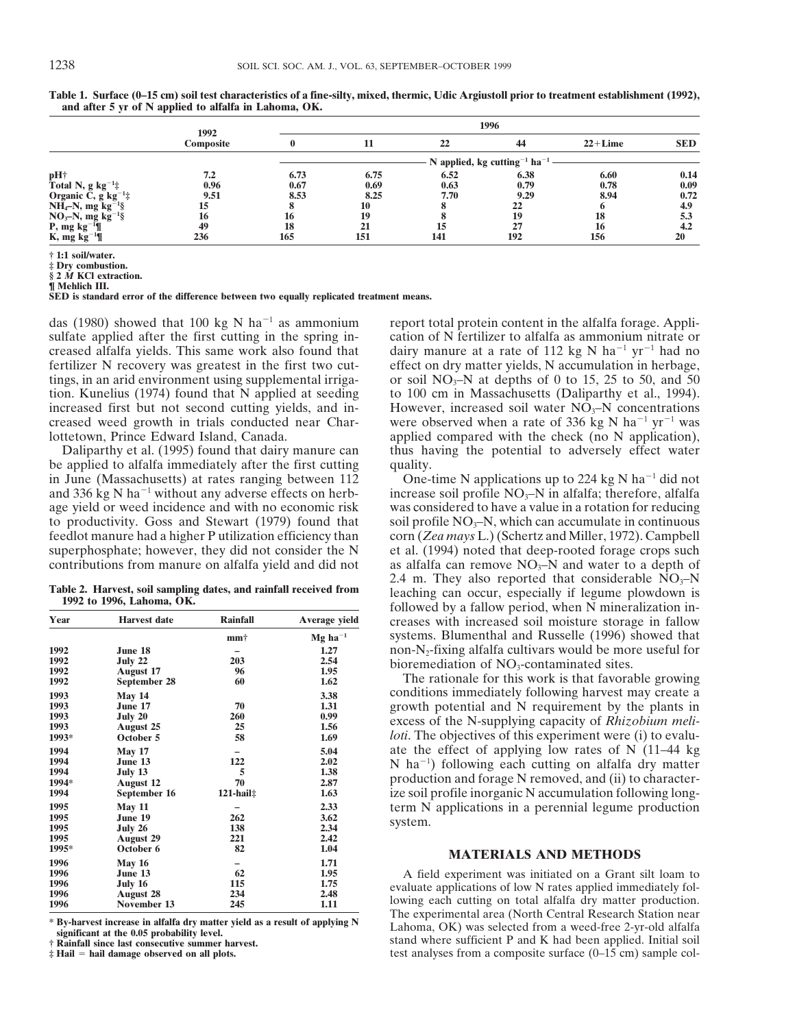|                                  | 1992<br>Composite |      | 1996                                                 |      |      |           |            |  |  |  |  |  |
|----------------------------------|-------------------|------|------------------------------------------------------|------|------|-----------|------------|--|--|--|--|--|
|                                  |                   | 0    |                                                      | 22   | 44   | $22+Line$ | <b>SED</b> |  |  |  |  |  |
|                                  |                   |      | N applied, kg cutting <sup>-1</sup> ha <sup>-1</sup> |      |      |           |            |  |  |  |  |  |
| pH†                              | 7.2               | 6.73 | 6.75                                                 | 6.52 | 6.38 | 6.60      | 0.14       |  |  |  |  |  |
| Total N, $g kg^{-1}$ :           | 0.96              | 0.67 | 0.69                                                 | 0.63 | 0.79 | 0.78      | 0.09       |  |  |  |  |  |
| Organic C, $g \text{ kg}^{-1}$ : | 9.51              | 8.53 | 8.25                                                 | 7.70 | 9.29 | 8.94      | 0.72       |  |  |  |  |  |
| $NH_4-N$ , mg $kg^{-1}\$         | 15                |      | 10                                                   |      | 22   |           | 4.9        |  |  |  |  |  |
| $NO3-N$ , mg kg <sup>-1</sup> §  | 16                | 16   | 19                                                   |      | 19   | 18        | 5.3        |  |  |  |  |  |
| $P$ , mg kg <sup>-1</sup> ¶      | 49                | 18   | 21                                                   | 15   | 27   | 16        | 4.2        |  |  |  |  |  |
| K, mg $kg^{-1}$                  | 236               | 165  | 151                                                  | 141  | 192  | 156       | 20         |  |  |  |  |  |

**Table 1. Surface (0–15 cm) soil test characteristics of a fine-silty, mixed, thermic, Udic Argiustoll prior to treatment establishment (1992), and after 5 yr of N applied to alfalfa in Lahoma, OK.**

**† 1:1 soil/water.**

**‡ Dry combustion. § 2** *M* **KCl extraction.**

**¶ Mehlich III.**

**SED is standard error of the difference between two equally replicated treatment means.**

creased alfalfa yields. This same work also found that dairy manure at a rate of 112 kg N ha<sup>-1</sup> yr<sup>-1</sup> had no fertilizer N recovery was greatest in the first two cut- effect on dry matter yields, N accumulation in herbage, tings, in an arid environment using supplemental irriga-<br>tion. Kunelius (1974) found that N applied at seeding to 100 cm in Massachusetts (Daliparthy et al., 1994). increased first but not second cutting yields, and in-<br>
However, increased soil water  $N\overline{O}_3$ –N concentrations<br>
creased weed growth in trials conducted near Char-<br>
were observed when a rate of 336 kg N ha<sup>-1</sup> yr<sup>-1</sup> wa lottetown, Prince Edward Island, Canada.  $\qquad \qquad \text{applied compared with the check (no N application),}$ 

be applied to alfalfa immediately after the first cutting quality. in June (Massachusetts) at rates ranging between 112 One-time N applications up to 224 kg N ha<sup>-1</sup> did not and 336 kg N ha<sup>-1</sup> without any adverse effects on herb-<br>age yield or weed incidence and with no economic risk was considered to have a value in a rotation for reducing age yield or weed incidence and with no economic risk was considered to have a value in a rotation for reducing to productivity. Goss and Stewart (1979) found that soil profile  $NO<sub>z</sub>-N$ , which can accumulate in continu to productivity. Goss and Stewart (1979) found that soil profile  $NO<sub>3</sub>–N$ , which can accumulate in continuous feedlot manure had a higher P utilization efficiency than corn (Zea mays L.) (Schertz and Miller, 1972). Ca superphosphate; however, they did not consider the  $N$  et al. (1994) noted that deep-rooted forage crops such contributions from manure on alfalfa yield and did not as alfalfa can remove  $NO_3$ –N and water to a depth of

| Year  | <b>Harvest</b> date | <b>Rainfall</b>        | Average yield         | <b>LULLUWC</b><br>creases |
|-------|---------------------|------------------------|-----------------------|---------------------------|
|       |                     | mm†                    | $Mg$ ha <sup>-1</sup> | systems                   |
| 1992  | June 18             |                        | 1.27                  | $non-N2$                  |
| 1992  | July 22             | 203                    | 2.54                  | biorem                    |
| 1992  | <b>August 17</b>    | 96                     | 1.95                  |                           |
| 1992  | September 28        | 60                     | 1.62                  | The :                     |
| 1993  | <b>May 14</b>       |                        | 3.38                  | conditi                   |
| 1993  | June 17             | 70                     | 1.31                  | growth                    |
| 1993  | July 20             | 260                    | 0.99                  |                           |
| 1993  | <b>August 25</b>    | 25                     | 1.56                  | excess                    |
| 1993* | October 5           | 58                     | 1.69                  | loti. Th                  |
| 1994  | <b>May 17</b>       |                        | 5.04                  | ate the                   |
| 1994  | June 13             | 122                    | 2.02                  | $N$ ha <sup>-1</sup>      |
| 1994  | July 13             | 5                      | 1.38                  |                           |
| 1994* | <b>August 12</b>    | 70                     | 2.87                  | produc                    |
| 1994  | September 16        | $121$ -hail $\ddagger$ | 1.63                  | ize soil                  |
| 1995  | <b>May 11</b>       |                        | 2.33                  | term N                    |
| 1995  | June 19             | 262                    | 3.62                  | system.                   |
| 1995  | July 26             | 138                    | 2.34                  |                           |
| 1995  | <b>August 29</b>    | 221                    | 2.42                  |                           |
| 1995* | October 6           | 82                     | 1.04                  |                           |
| 1996  | <b>May 16</b>       |                        | 1.71                  |                           |
| 1996  | June 13             | 62                     | 1.95                  | A fie                     |
| 1996  | July 16             | 115                    | 1.75                  | evaluate                  |
| 1996  | <b>August 28</b>    | 234                    | 2.48                  |                           |
| 1996  | November 13         | 245                    | 1.11                  | lowing                    |

das (1980) showed that 100 kg N ha<sup>-1</sup> as ammonium report total protein content in the alfalfa forage. Appli-<br>sulfate applied after the first cutting in the spring in-<br>cation of N fertilizer to alfalfa as ammonium nitrate cation of N fertilizer to alfalfa as ammonium nitrate or to 100 cm in Massachusetts (Daliparthy et al., 1994). were observed when a rate of 336 kg N ha<sup>-1</sup> yr<sup>-1</sup> was Daliparthy et al. (1995) found that dairy manure can thus having the potential to adversely effect water

corn (*Zea mays* L.) (Schertz and Miller, 1972). Campbell 2.4 m. They also reported that considerable  $NO<sub>3</sub>–N$ Table 2. Harvest, soil sampling dates, and rainfall received from leaching can occur, especially if legume plowdown is followed by a fallow period, when N mineralization increases with increased soil moisture storage in fallow systems. Blumenthal and Russelle (1996) showed that non-N<sub>2</sub>-fixing alfalfa cultivars would be more useful for bioremediation of NO<sub>3</sub>-contaminated sites.

> The rationale for this work is that favorable growing conditions immediately following harvest may create a growth potential and N requirement by the plants in excess of the N-supplying capacity of *Rhizobium meliloti*. The objectives of this experiment were (i) to evaluate the effect of applying low rates of N (11–44 kg) N ha<sup>-1</sup>) following each cutting on alfalfa dry matter production and forage N removed, and (ii) to characterize soil profile inorganic N accumulation following long-**1995 Iume N** applications in a perennial legume production system.

## **MATERIALS AND METHODS**

A field experiment was initiated on a Grant silt loam to<br>evaluate applications of low N rates applied immediately fol-<br>lowing each cutting on total alfalfa dry matter production.<br>The experimental area (North Central Resear \* By-harvest increase in alfalfa dry matter yield as a result of applying N<br>
ignificant at the 0.05 probability level.<br>  $\frac{1}{100}$  Exchends North Mathematics Content P and K had been applied. Initial soil<br>  $\frac{1}{100}$  Fi **test analyses from a composite surface (0–15 cm) sample col-**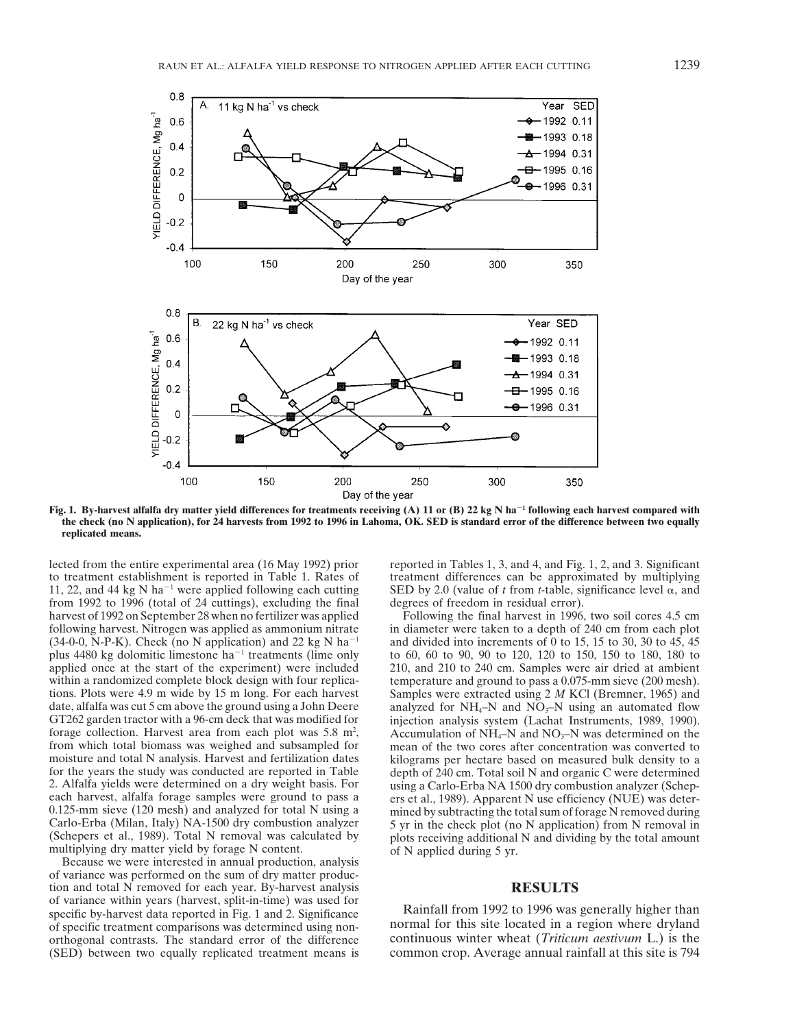

**Fig. 1. By-harvest alfalfa dry matter yield differences for treatments receiving (A) 11 or (B) 22 kg N ha<sup>-1</sup> following each harvest compared with the check (no N application), for 24 harvests from 1992 to 1996 in Lahoma, OK. SED is standard error of the difference between two equally replicated means.**

lected from the entire experimental area (16 May 1992) prior reported in Tables 1, 3, and 4, and Fig. 1, 2, and 3. Significant to treatment establishment is reported in Table 1. Rates of treatment differences can be approximated by multiplying 11, 22, and 44 kg N ha<sup>-1</sup> were applied following each cutting SED by 2.0 (value of *t* from *t*-table, significance level  $\alpha$ , and from 1992 to 1996 (total of 24 cuttings), excluding the final degrees of freedom in residual error). harvest of 1992 on September 28 when no fertilizer was applied Following the final harvest in 1996, two soil cores 4.5 cm forage collection. Harvest area from each plot was  $5.8 \text{ m}^2$ ,

of variance was performed on the sum of dry matter production and total N removed for each year. By-harvest analysis **RESULTS**<br>of variance within years (harvest, split-in-time) was used for of variance with years (harvest data reported in Fig. 1 and 2. Significance Rainfall from 1992 to 1996 was generally higher than specific by-harvest data reported in Fig. 1 and 2. Significance of specific treatment compari of specific treatment comparisons was determined using non-<br>orthogonal contrasts. The standard error of the difference continuous winter wheat (*Triticum aestivum* L.) is the orthogonal contrasts. The standard error of the difference continuous winter wheat (*Triticum aestivum* L.) is the (SED) between two equally replicated treatment means is common crop. Average annual rainfall at this site i (SED) between two equally replicated treatment means is

following harvest. Nitrogen was applied as ammonium nitrate in diameter were taken to a depth of 240 cm from each plot  $(34-0-0)$ , N-P-K). Check (no N application) and 22 kg N ha<sup>-1</sup> and divided into increments of 0 to 15 (34-0-0, N-P-K). Check (no N application) and 22 kg N ha<sup>-1</sup> and divided into increments of 0 to 15, 15 to 30, 30 to 45, 45 plus 4480 kg dolomitic limestone ha<sup>-1</sup> treatments (lime only to 60, 60 to 90, 90 to 120, 120 to plus 4480 kg dolomitic limestone ha<sup>-1</sup> treatments (lime only to 60, 60 to 90, 90 to 120, 120 to 150, 150 to 180, 180 to applied once at the start of the experiment) were included 210, and 210 to 240 cm. Samples were air  $210$ , and  $210$  to  $240$  cm. Samples were air dried at ambient within a randomized complete block design with four replica-<br>temperature and ground to pass a 0.075-mm sieve (200 mesh). tions. Plots were 4.9 m wide by 15 m long. For each harvest Samples were extracted using 2 *M* KCl (Bremner, 1965) and date, alfalfa was cut 5 cm above the ground using a John Deere analyzed for NH<sub>4</sub>–N and NO<sub>3</sub>–N using a date, alfalfa was cut 5 cm above the ground using a John Deere analyzed for  $NH_4$ –N and  $NO_3$ –N using an automated flow GT262 garden tractor with a 96-cm deck that was modified for injection analysis system (Lachat Instru injection analysis system (Lachat Instruments, 1989, 1990). forage collection. Harvest area from each plot was 5.8  $m^2$ , Accumulation of NH<sub>4</sub>–N and NO<sub>3</sub>–N was determined on the from which total biomass was weighed and subsampled for mean of the two cores after concentration was from which total biomass was weighed and subsampled for mean of the two cores after concentration was converted to moisture and total N analysis. Harvest and fertilization dates kilograms per hectare based on measured bulk moisture and total N analysis. Harvest and fertilization dates kilograms per hectare based on measured bulk density to a for the years the study was conducted are reported in Table depth of 240 cm. Total soil N and organic for the years the study was conducted are reported in Table depth of 240 cm. Total soil N and organic C were determined<br>2. Alfalfa yields were determined on a dry weight basis. For using a Carlo-Erba NA 1500 dry combustion 2. Alfalfa yields were determined on a dry weight basis. For using a Carlo-Erba NA 1500 dry combustion analyzer (Schep-<br>each harvest, alfalfa forage samples were ground to pass a est al., 1989). Apparent N use efficiency ( each harvest, alfalfa forage samples were ground to pass a<br>
0.125-mm sieve (120 mesh) and analyzed for total N using a<br>
Carlo-Erba (Milan, Italy) NA-1500 dry combustion analyzer<br>
(Schepers et al., 1989). Total N removal wa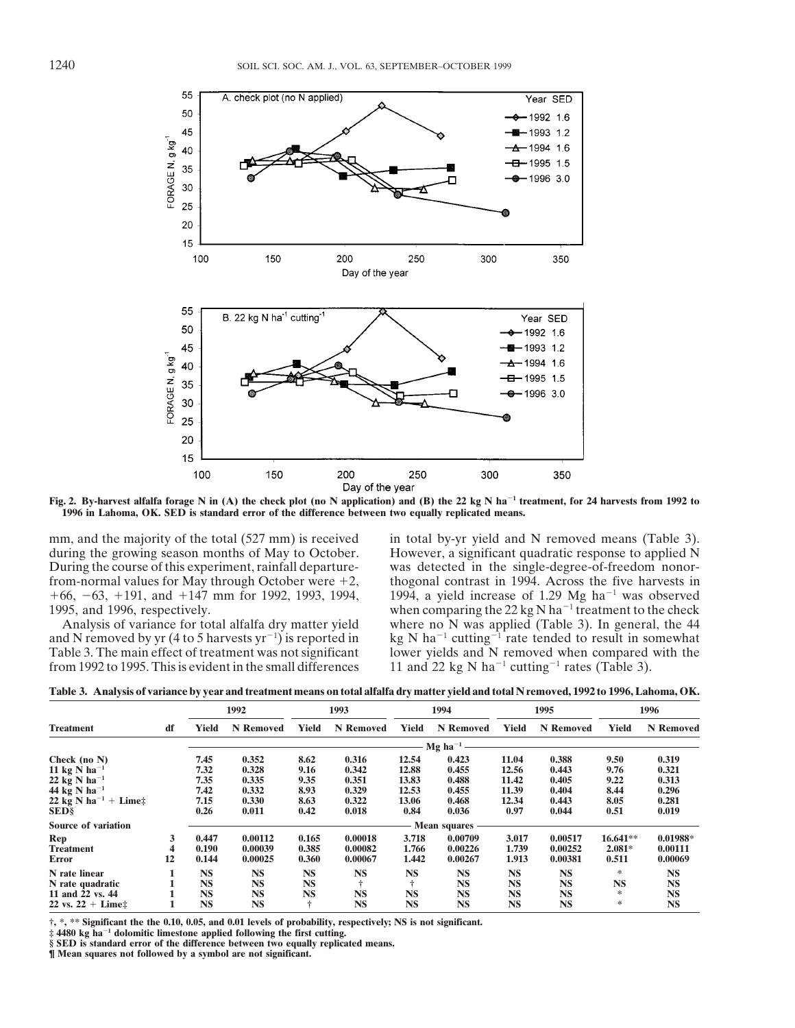

Fig. 2. By-harvest alfalfa forage N in (A) the check plot (no N application) and (B) the 22 kg N ha<sup>-1</sup> treatment, for 24 harvests from 1992 to **1996 in Lahoma, OK. SED is standard error of the difference between two equally replicated means.**

During the course of this experiment, rainfall departure- was detected in the single-degree-of-freedom nonorfrom-normal values for May through October were  $+2$ , thogonal contrast in 1994. Across the five harvests in  $+66$ ,  $-63$ ,  $+191$ , and  $+147$  mm for 1992, 1993, 1994, 1994, a yield increase of 1.29 Mg ha<sup>-1</sup> was observed

and N removed by yr (4 to 5 harvests yr<sup>-1</sup>) is reported in kg N ha<sup>-1</sup> cutting<sup>-1</sup> rate tended to result in somewhat Table 3. The main effect of treatment was not significant lower yields and N removed when compared with and N removed by yr (4 to 5 harvests  $yr^{-1}$ ) is reported in from 1992 to 1995. This is evident in the small differences

mm, and the majority of the total (527 mm) is received in total by-yr yield and N removed means (Table 3).<br>
during the growing season months of May to October. However, a significant quadratic response to applied N However, a significant quadratic response to applied N 1995, and 1996, respectively.<br>
Analysis of variance for total alfalfa dry matter yield where no N was applied (Table 3). In general, the 44 where no  $\overline{N}$  was applied (Table 3). In general, the 44 lower yields and N removed when compared with the 11 and 22 kg N  $\text{ha}^{-1}$  cutting<sup>-1</sup> rates (Table 3).

|                                  |    | . .       |           |           |           |           |                     |              |           |            |            |
|----------------------------------|----|-----------|-----------|-----------|-----------|-----------|---------------------|--------------|-----------|------------|------------|
|                                  |    | 1992      |           | 1993      |           | 1994      |                     | 1995         |           | 1996       |            |
| Treatment                        | df | Yield     | N Removed | Yield     | N Removed | Yield     | N Removed           | <b>Yield</b> | N Removed | Yield      | N Removed  |
|                                  |    |           |           |           |           |           | – Mg ha $^{-1}$     |              |           |            |            |
| Check (no N)                     |    | 7.45      | 0.352     | 8.62      | 0.316     | 12.54     | 0.423               | 11.04        | 0.388     | 9.50       | 0.319      |
| 11 kg N ha <sup>-1</sup>         |    | 7.32      | 0.328     | 9.16      | 0.342     | 12.88     | 0.455               | 12.56        | 0.443     | 9.76       | 0.321      |
| 22 kg N ha $^{-1}$               |    | 7.35      | 0.335     | 9.35      | 0.351     | 13.83     | 0.488               | 11.42        | 0.405     | 9.22       | 0.313      |
| 44 kg N ha $^{-1}$               |    | 7.42      | 0.332     | 8.93      | 0.329     | 12.53     | 0.455               | 11.39        | 0.404     | 8.44       | 0.296      |
| 22 kg N ha <sup>-1</sup> + Lime‡ |    | 7.15      | 0.330     | 8.63      | 0.322     | 13.06     | 0.468               | 12.34        | 0.443     | 8.05       | 0.281      |
| SED§                             |    | 0.26      | 0.011     | 0.42      | 0.018     | 0.84      | 0.036               | 0.97         | 0.044     | 0.51       | 0.019      |
| <b>Source of variation</b>       |    |           |           |           |           |           | <b>Mean squares</b> |              |           |            |            |
| Rep                              | 3  | 0.447     | 0.00112   | 0.165     | 0.00018   | 3.718     | 0.00709             | 3.017        | 0.00517   | $16.641**$ | $0.01988*$ |
| <b>Treatment</b>                 | 4  | 0.190     | 0.00039   | 0.385     | 0.00082   | 1.766     | 0.00226             | 1.739        | 0.00252   | $2.081*$   | 0.00111    |
| Error                            | 12 | 0.144     | 0.00025   | 0.360     | 0.00067   | 1.442     | 0.00267             | 1.913        | 0.00381   | 0.511      | 0.00069    |
| N rate linear                    |    | <b>NS</b> | <b>NS</b> | <b>NS</b> | <b>NS</b> | <b>NS</b> | <b>NS</b>           | <b>NS</b>    | <b>NS</b> | *          | <b>NS</b>  |
| N rate quadratic                 |    | <b>NS</b> | <b>NS</b> | <b>NS</b> |           |           | <b>NS</b>           | <b>NS</b>    | <b>NS</b> | <b>NS</b>  | <b>NS</b>  |
| 11 and 22 vs. 44                 |    | <b>NS</b> | <b>NS</b> | <b>NS</b> | <b>NS</b> | <b>NS</b> | <b>NS</b>           | <b>NS</b>    | <b>NS</b> | *          | <b>NS</b>  |
| 22 vs. 22 + Lime‡                |    | <b>NS</b> | <b>NS</b> |           | <b>NS</b> | <b>NS</b> | <b>NS</b>           | <b>NS</b>    | <b>NS</b> | ∗          | <b>NS</b>  |
|                                  |    |           |           |           |           |           |                     |              |           |            |            |

**Table 3. Analysis of variance by year and treatment means on total alfalfa dry matter yield and total N removed, 1992 to 1996, Lahoma, OK.**

**†, \*, \*\* Significant the the 0.10, 0.05, and 0.01 levels of probability, respectively; NS is not significant.**

 $\sharp$  4480 kg ha<sup>-1</sup> dolomitic limestone applied following the first cutting.

**§ SED is standard error of the difference between two equally replicated means.**

**¶ Mean squares not followed by a symbol are not significant.**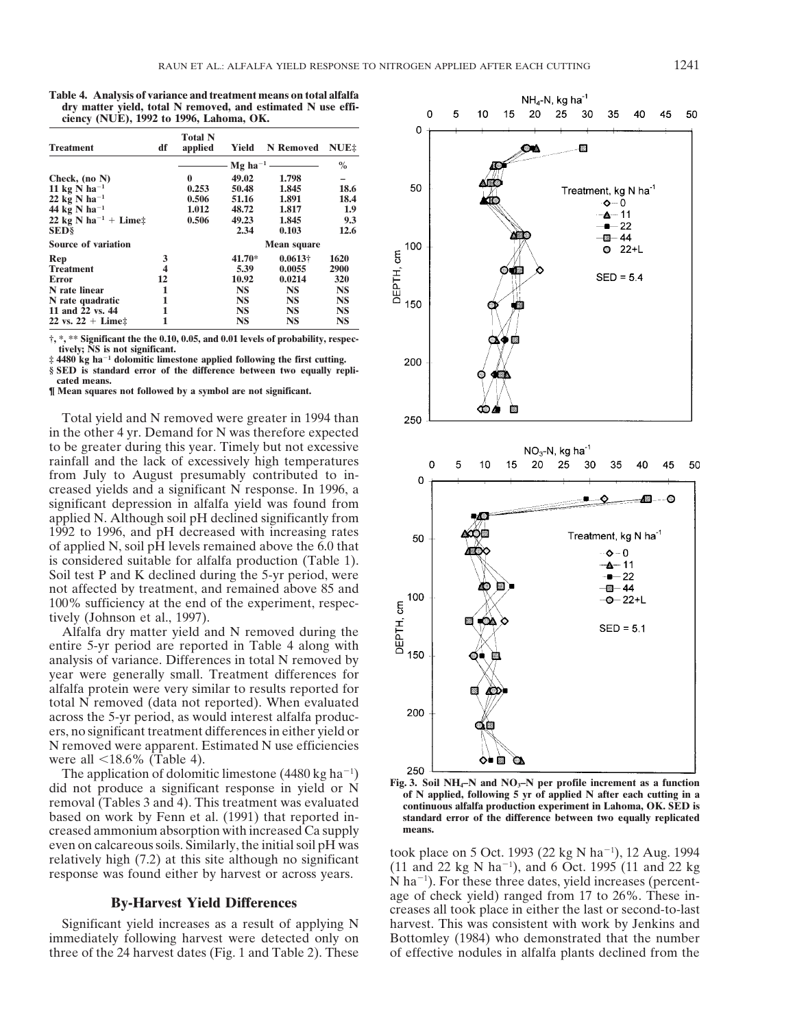**Table 4. Analysis of variance and treatment means on total alfalfa dry matter yield, total N removed, and estimated N use efficiency (NUE), 1992 to 1996, Lahoma, OK.**

| <b>Treatment</b>                   | df | <b>Total N</b><br>applied | Yield     | N Removed          | NUE <sub>2</sub> |  |  |  |
|------------------------------------|----|---------------------------|-----------|--------------------|------------------|--|--|--|
|                                    |    |                           | $\%$      |                    |                  |  |  |  |
| Check, $(no N)$                    |    | 0                         | 49.02     | 1.798              |                  |  |  |  |
| 11 kg N ha <sup>-1</sup>           |    | 0.253                     | 50.48     | 1.845              | 18.6             |  |  |  |
| 22 kg N ha <sup>-1</sup>           |    | 0.506                     | 51.16     | 1.891              | 18.4             |  |  |  |
| 44 $kg \text{ N}$ ha <sup>-1</sup> |    | 1.012                     | 48.72     | 1.817              | 1.9              |  |  |  |
| 22 kg N ha <sup>-1</sup> + Lime‡   |    | 0.506                     | 49.23     | 1.845              | 9.3              |  |  |  |
| <b>SED</b> §                       |    |                           | 2.34      | 0.103              | 12.6             |  |  |  |
| <b>Source of variation</b>         |    |                           |           | <b>Mean square</b> |                  |  |  |  |
| Rep                                | 3  |                           | 41.70*    | $0.0613 +$         | 1620             |  |  |  |
| <b>Treatment</b>                   | 4  |                           | 5.39      | 0.0055             | 2900             |  |  |  |
| Error                              | 12 |                           | 10.92     | 0.0214             | 320              |  |  |  |
| N rate linear                      | 1  |                           | <b>NS</b> | <b>NS</b>          | <b>NS</b>        |  |  |  |
| N rate quadratic                   | 1  |                           | <b>NS</b> | <b>NS</b>          | <b>NS</b>        |  |  |  |
| 11 and 22 vs. 44                   | 1  |                           | <b>NS</b> | <b>NS</b>          | <b>NS</b>        |  |  |  |
| $22 \text{ vs. } 22 + \text{Line}$ | 1  |                           | NS        | NS                 | NS               |  |  |  |

**†, \*, \*\* Significant the the 0.10, 0.05, and 0.01 levels of probability, respectively; NS is not significant.**

 $\ddagger$  4480 kg ha<sup>-1</sup> dolomitic limestone applied following the first cutting. **§ SED is standard error of the difference between two equally replicated means.**

**¶ Mean squares not followed by a symbol are not significant.**

Total yield and N removed were greater in 1994 than in the other 4 yr. Demand for N was therefore expected to be greater during this year. Timely but not excessive rainfall and the lack of excessively high temperatures from July to August presumably contributed to increased yields and a significant N response. In 1996, a significant depression in alfalfa yield was found from applied N. Although soil pH declined significantly from 1992 to 1996, and pH decreased with increasing rates of applied N, soil pH levels remained above the 6.0 that is considered suitable for alfalfa production (Table 1). Soil test P and K declined during the 5-yr period, were not affected by treatment, and remained above 85 and 100% sufficiency at the end of the experiment, respectively (Johnson et al., 1997).

Alfalfa dry matter yield and N removed during the entire 5-yr period are reported in Table 4 along with analysis of variance. Differences in total N removed by year were generally small. Treatment differences for alfalfa protein were very similar to results reported for total N removed (data not reported). When evaluated across the 5-yr period, as would interest alfalfa producers, no significant treatment differences in either yield or N removed were apparent. Estimated N use efficiencies were all  $\leq 18.6\%$  (Table 4).

The application of dolomitic limestone (4480 kg ha<sup>-1</sup>) The application of dolomitic limestone  $(4480 \text{ kg ha}^{-1})$ <br>did not produce a significant response in yield or N<br>removal (Tables 3 and 4). This treatment was evaluated<br>removal (Tables 3 and 4). This treatment was evaluated<br>di based on work by Fenn et al. (1991) that reported in- **standard error of the difference between two equally replicated** creased ammonium absorption with increased Ca supply **means.** even on calcareous soils. Similarly, the initial soil pH was<br>relatively high (7.2) at this site although no significant<br> $(34.128 \text{ N})$  and  $(1.68 \text{ N})$  and  $(34.128 \text{ N})$  and  $(34.128 \text{ N})$  and  $(34.128 \text{ N})$  and  $(34.128$ 



 $(11$  and 22 kg N ha<sup>-1</sup>), and 6 Oct. 1995  $(11$  and 22 kg response was found either by harvest or across years.<br>  $N \text{ ha}^{-1}$ . For these three dates, yield increases (percent-<br>  $\text{Re } N \text{ ha}^{-1}$ ). For these three dates, yield increases (percent-<br>  $\text{Re } N \text{ ha}^{-1}$ ). For these three  $N$  ha<sup> $-1$ </sup>). For these three dates, yield increases (percentage of check yield) ranged from 17 to 26%. These in- **By-Harvest Yield Differences** creases all took place in either the last or second-to-last Significant yield increases as a result of applying N harvest. This was consistent with work by Jenkins and immediately following harvest were detected only on Bottomley (1984) who demonstrated that the number three of the 24 harvest dates (Fig. 1 and Table 2). These of effective nodules in alfalfa plants declined from the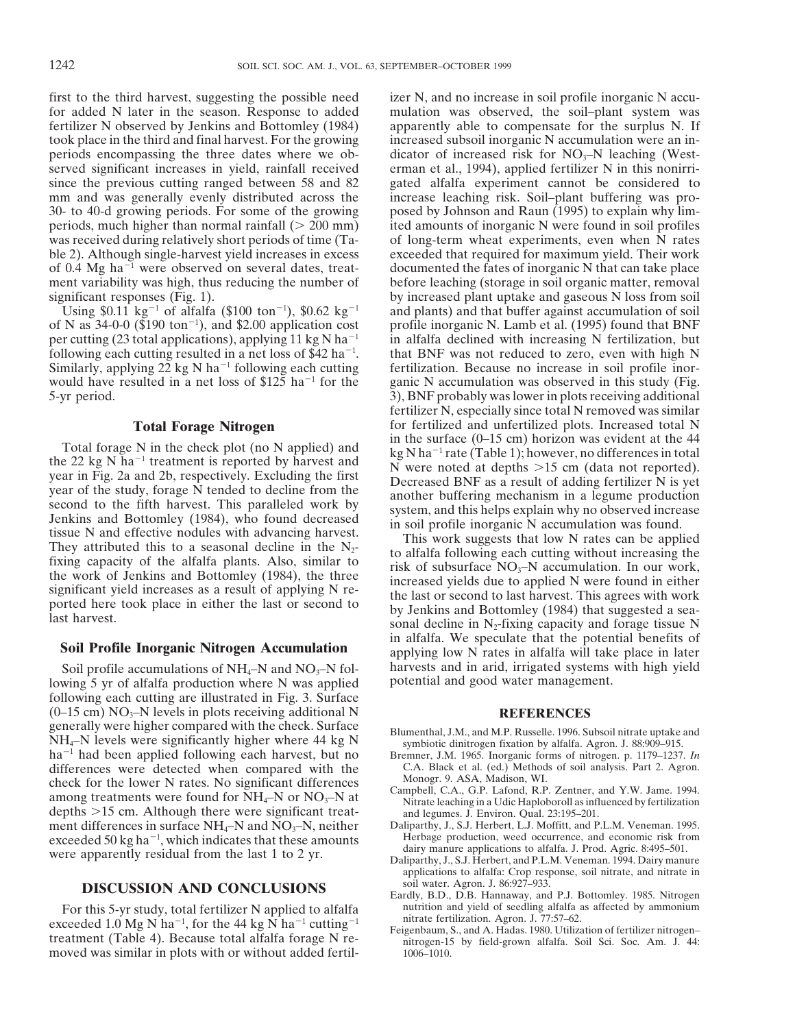first to the third harvest, suggesting the possible need izer N, and no increase in soil profile inorganic N accufor added N later in the season. Response to added mulation was observed, the soil–plant system was fertilizer N observed by Jenkins and Bottomley (1984) apparently able to compensate for the surplus N. If took place in the third and final harvest. For the growing increased subsoil inorganic N accumulation were an inperiods encompassing the three dates where we ob- dicator of increased risk for  $NO<sub>3</sub>–N$  leaching (Westserved significant increases in yield, rainfall received erman et al., 1994), applied fertilizer N in this nonirrisince the previous cutting ranged between 58 and 82 gated alfalfa experiment cannot be considered to mm and was generally evenly distributed across the increase leaching risk. Soil–plant buffering was pro-30- to 40-d growing periods. For some of the growing posed by Johnson and Raun (1995) to explain why limperiods, much higher than normal rainfall ( $> 200$  mm) ited amounts of inorganic N were found in soil profiles was received during relatively short periods of time (Ta- of long-term wheat experiments, even when N rates ble 2). Although single-harvest yield increases in excess exceeded that required for maximum yield. Their work of 0.4 Mg ha<sup>-1</sup> were observed on several dates, treat-<br>documented the fates of inorganic N that can take place ment variability was high, thus reducing the number of before leaching (storage in soil organic matter, removal

of N as  $34-0-0$  (\$190 ton<sup>-1</sup>), and \$2.00 application cost per cutting (23 total applications), applying 11 kg N ha<sup>-1</sup> in alfalfa declined with increasing N fertilization, but following each cutting resulted in a net loss of \$42 ha<sup>-1</sup>. Similarly, applying 22 kg N ha<sup>-1</sup> following each cutting fertilization. Because no increase in soil profile inorwould have resulted in a net loss of \$125 ha<sup>-1</sup> for the ganic N accumulation was observed in this study (Fig. 5-yr period. 3), BNF probably was lower in plots receiving additional

Total forage N in the check plot (no N applied) and<br>
the 22 kg N ha<sup>-1</sup> treatment is reported by harvest and<br>
the 22 kg N ha<sup>-1</sup> treatment is reported by harvest and<br>
year in Fig. 2a and 2b, respectively. Excluding the fi

lowing 5 yr of alfalfa production where N was applied. following each cutting are illustrated in Fig. 3. Surface  $(0-15 \text{ cm}) \text{ NO}_3$ -N levels in plots receiving additional N<br>generally were higher compared with the check. Surface<br> $\frac{2 \text{ N} \cdot \text{N}}{\text{N} \cdot \text{N}}$  and M.B. Bussells, 1006.8: Blumenthal, J.M., and M.P. Russelle. 1996. Subsoil nitrate uptake and<br>NH<sub>4</sub>–N levels were significantly higher where 44 kg N subsoilect dinitrogen fixation by alfalfa. Agron. J. 88:909–915. ha<sup>-1</sup> had been applied following each harvest, but no<br>differences were detected when compared with the C.A. Black et al. (ed.) Methods of soil analysis. Part 2. Agron. differences were detected when compared with the C.A. Black et al. (ed.) Methods obeck for the lower N rates. No significant differences Monogr. 9. ASA, Madison, WI. check for the lower N rates. No significant differences<br>among treatments were found for  $NH_4$ -N or  $NO_3$ -N at<br>depths >15 cm. Although there were significant treat-<br>depths >15 cm. Although there were significant treat-<br>dep depths >15 cm. Although there were significant treat-<br>ment differences in surface NH<sub>4</sub>-N and NO<sub>3</sub>-N, neither Daliparthy, J., S.J. Herbert, L.J. Moffitt, and P.L.M. Veneman. 1995. ment differences in surface  $NH_4-N$  and  $NO_3-N$ , neither exceeded 50 kg ha<sup> $-1$ </sup>, which indicates that these amounts were apparently residual from the last 1 to 2 yr.<br>Daliparthy, J., S.J. Herbert, and P.L.M. Veneman. 1994. Dairy manure

exceeded 1.0 Mg N ha<sup>-1</sup>, for the 44 kg N ha<sup>-1</sup> cutting<sup>-1</sup> mitrate fertilization. Agron. J. 77:57–62. Feigenbaum, S., and A. Hadas. 1980. Utilization of fertilizer nitrogen– treatment (Table 4). Because total alfalfa forage N re- nitrogen-15 by field-grown alfalfa. Soil Sci. Soc. Am. J. 44: moved was similar in plots with or without added fertil- 1006–1010.

significant responses (Fig. 1). by increased plant uptake and gaseous N loss from soil Using \$0.11 kg<sup>-1</sup> of alfalfa (\$100 ton<sup>-1</sup>), \$0.62 kg<sup>-1</sup> and plants) and that buffer against accumulation of soil profile inorganic N. Lamb et al. (1995) found that BNF . that BNF was not reduced to zero, even with high N fertilizer N, especially since total N removed was similar **Total Forage Nitrogen** for fertilized and unfertilized plots. Increased total N<br>in the surface (0–15 cm) horizon was evident at the 44

**Soil Profile Inorganic Nitrogen Accumulation** in alfalfa. We speculate that the potential benefits of applying low N rates in alfalfa will take place in later Soil profile accumulations of  $NH_4-N$  and  $NO_3-N$  fol-<br>wing 5 yr of alfalfa production where N was applied potential and good water management.

- 
- 
- 
- Herbage production, weed occurrence, and economic risk from dairy manure applications to alfalfa. J. Prod. Agric. 8:495-501.
- applications to alfalfa: Crop response, soil nitrate, and nitrate in
- **DISCUSSION AND CONCLUSIONS** Eardly, B.D., D.B. Hannaway, and P.J. Bottomley. 1985. Nitrogen For this 5-yr study, total fertilizer N applied to alfalfa nutrition and yield of seedling alfalfa as affected by ammonium numerical nutrition. Agron. J. 77:57–62.
	-